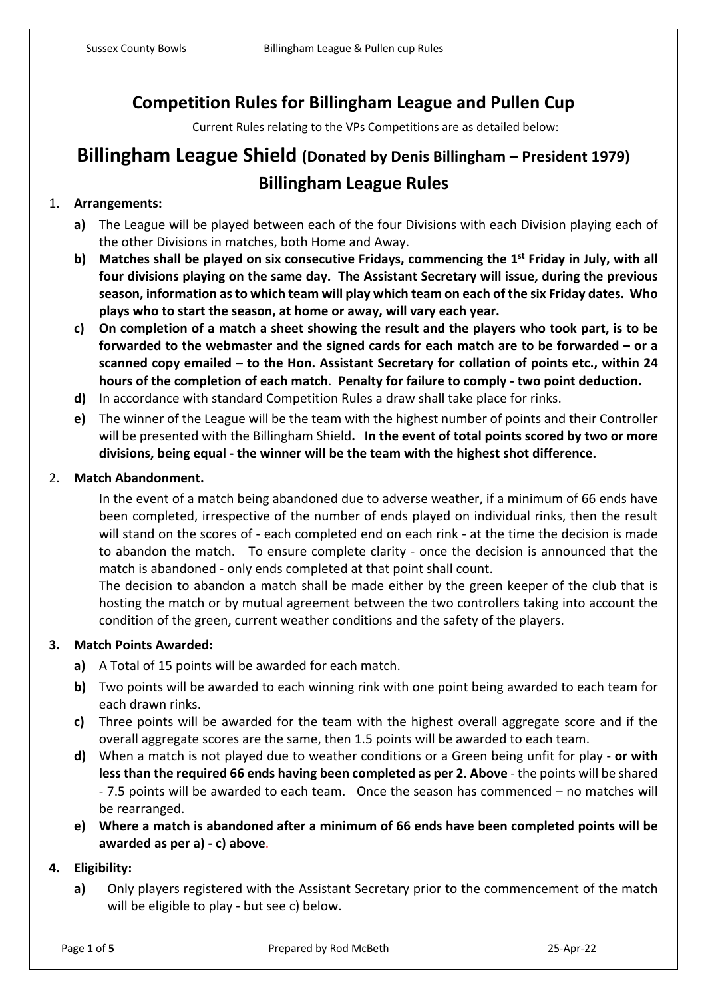# **Competition Rules for Billingham League and Pullen Cup**

Current Rules relating to the VPs Competitions are as detailed below:

# **Billingham League Shield (Donated by Denis Billingham – President 1979) Billingham League Rules**

# 1. **Arrangements:**

- **a)** The League will be played between each of the four Divisions with each Division playing each of the other Divisions in matches, both Home and Away.
- **b) Matches shall be played on six consecutive Fridays, commencing the 1st Friday in July, with all four divisions playing on the same day. The Assistant Secretary will issue, during the previous season, information as to which team will play which team on each of the six Friday dates. Who plays who to start the season, at home or away, will vary each year.**
- **c) On completion of a match a sheet showing the result and the players who took part, is to be forwarded to the webmaster and the signed cards for each match are to be forwarded – or a scanned copy emailed – to the Hon. Assistant Secretary for collation of points etc., within 24 hours of the completion of each match**. **Penalty for failure to comply - two point deduction.**
- **d)** In accordance with standard Competition Rules a draw shall take place for rinks.
- **e)** The winner of the League will be the team with the highest number of points and their Controller will be presented with the Billingham Shield**. In the event of total points scored by two or more divisions, being equal - the winner will be the team with the highest shot difference.**

# 2. **Match Abandonment.**

In the event of a match being abandoned due to adverse weather, if a minimum of 66 ends have been completed, irrespective of the number of ends played on individual rinks, then the result will stand on the scores of - each completed end on each rink - at the time the decision is made to abandon the match. To ensure complete clarity - once the decision is announced that the match is abandoned - only ends completed at that point shall count.

The decision to abandon a match shall be made either by the green keeper of the club that is hosting the match or by mutual agreement between the two controllers taking into account the condition of the green, current weather conditions and the safety of the players.

## **3. Match Points Awarded:**

- **a)** A Total of 15 points will be awarded for each match.
- **b)** Two points will be awarded to each winning rink with one point being awarded to each team for each drawn rinks.
- **c)** Three points will be awarded for the team with the highest overall aggregate score and if the overall aggregate scores are the same, then 1.5 points will be awarded to each team.
- **d)** When a match is not played due to weather conditions or a Green being unfit for play **or with less than the required 66 ends having been completed as per 2. Above** - the points will be shared - 7.5 points will be awarded to each team. Once the season has commenced – no matches will be rearranged.
- **e) Where a match is abandoned after a minimum of 66 ends have been completed points will be awarded as per a) - c) above**.

# **4. Eligibility:**

**a)** Only players registered with the Assistant Secretary prior to the commencement of the match will be eligible to play - but see c) below.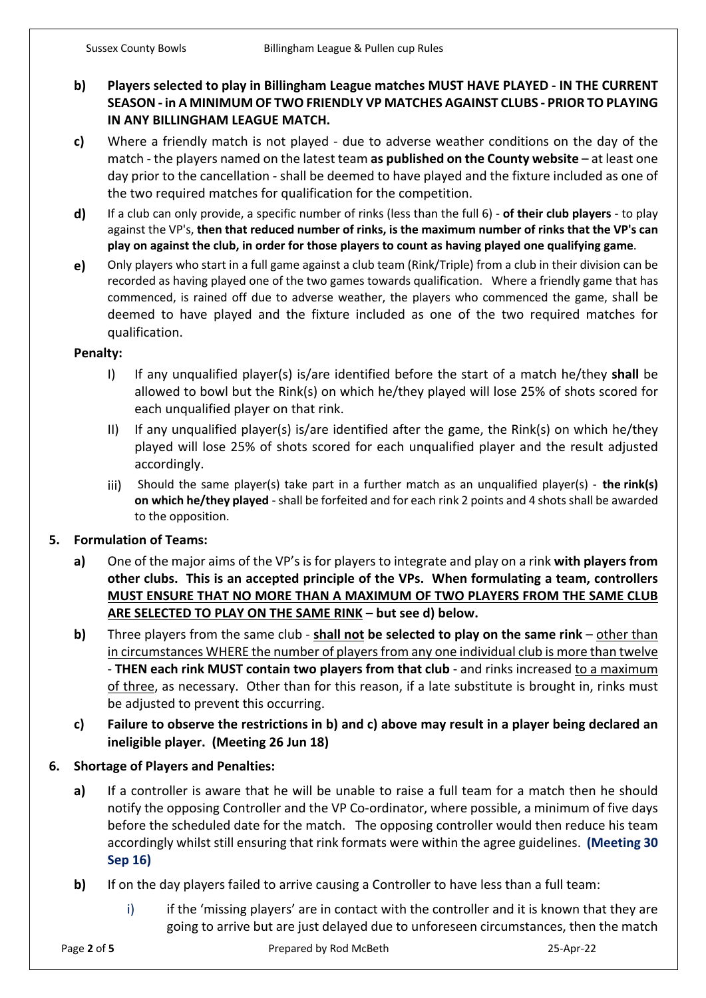# **b) Players selected to play in Billingham League matches MUST HAVE PLAYED - IN THE CURRENT SEASON - in A MINIMUM OF TWO FRIENDLY VP MATCHES AGAINST CLUBS - PRIOR TO PLAYING IN ANY BILLINGHAM LEAGUE MATCH.**

- **c)** Where a friendly match is not played due to adverse weather conditions on the day of the match - the players named on the latest team **as published on the County website** – at least one day prior to the cancellation - shall be deemed to have played and the fixture included as one of the two required matches for qualification for the competition.
- **d)** If a club can only provide, a specific number of rinks (less than the full 6) **of their club players** to play against the VP's, **then that reduced number of rinks, is the maximum number of rinks that the VP's can play on against the club, in order for those players to count as having played one qualifying game**.
- **e)** Only players who start in a full game against a club team (Rink/Triple) from a club in their division can be recorded as having played one of the two games towards qualification. Where a friendly game that has commenced, is rained off due to adverse weather, the players who commenced the game, shall be deemed to have played and the fixture included as one of the two required matches for qualification.

## **Penalty:**

- I) If any unqualified player(s) is/are identified before the start of a match he/they **shall** be allowed to bowl but the Rink(s) on which he/they played will lose 25% of shots scored for each unqualified player on that rink.
- II) If any unqualified player(s) is/are identified after the game, the Rink(s) on which he/they played will lose 25% of shots scored for each unqualified player and the result adjusted accordingly.
- iii) Should the same player(s) take part in a further match as an unqualified player(s) **the rink(s) on which he/they played** - shall be forfeited and for each rink 2 points and 4 shots shall be awarded to the opposition.

# **5. Formulation of Teams:**

- **a)** One of the major aims of the VP's is for players to integrate and play on a rink **with players from other clubs. This is an accepted principle of the VPs. When formulating a team, controllers MUST ENSURE THAT NO MORE THAN A MAXIMUM OF TWO PLAYERS FROM THE SAME CLUB ARE SELECTED TO PLAY ON THE SAME RINK – but see d) below.**
- **b)** Three players from the same club **shall not be selected to play on the same rink** other than in circumstances WHERE the number of players from any one individual club is more than twelve - **THEN each rink MUST contain two players from that club** - and rinks increased to a maximum of three, as necessary. Other than for this reason, if a late substitute is brought in, rinks must be adjusted to prevent this occurring.
- **c) Failure to observe the restrictions in b) and c) above may result in a player being declared an ineligible player. (Meeting 26 Jun 18)**

# **6. Shortage of Players and Penalties:**

- **a)** If a controller is aware that he will be unable to raise a full team for a match then he should notify the opposing Controller and the VP Co-ordinator, where possible, a minimum of five days before the scheduled date for the match. The opposing controller would then reduce his team accordingly whilst still ensuring that rink formats were within the agree guidelines. **(Meeting 30 Sep 16)**
- **b)** If on the day players failed to arrive causing a Controller to have less than a full team:
	- i) if the 'missing players' are in contact with the controller and it is known that they are going to arrive but are just delayed due to unforeseen circumstances, then the match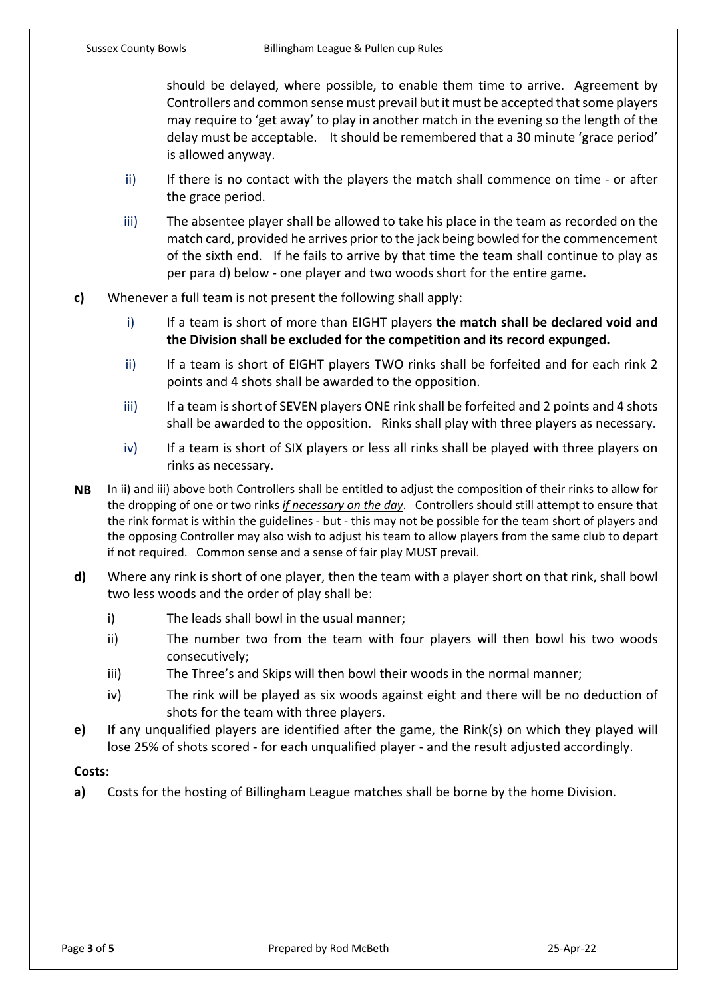should be delayed, where possible, to enable them time to arrive. Agreement by Controllers and common sense must prevail but it must be accepted that some players may require to 'get away' to play in another match in the evening so the length of the delay must be acceptable. It should be remembered that a 30 minute 'grace period' is allowed anyway.

- ii) If there is no contact with the players the match shall commence on time or after the grace period.
- iii) The absentee player shall be allowed to take his place in the team as recorded on the match card, provided he arrives prior to the jack being bowled for the commencement of the sixth end. If he fails to arrive by that time the team shall continue to play as per para d) below - one player and two woods short for the entire game**.**
- **c)** Whenever a full team is not present the following shall apply:
	- i) If a team is short of more than EIGHT players **the match shall be declared void and the Division shall be excluded for the competition and its record expunged.**
	- ii) If a team is short of EIGHT players TWO rinks shall be forfeited and for each rink 2 points and 4 shots shall be awarded to the opposition.
	- iii) If a team is short of SEVEN players ONE rink shall be forfeited and 2 points and 4 shots shall be awarded to the opposition. Rinks shall play with three players as necessary.
	- iv) If a team is short of SIX players or less all rinks shall be played with three players on rinks as necessary.
- **NB** In ii) and iii) above both Controllers shall be entitled to adjust the composition of their rinks to allow for the dropping of one or two rinks *if necessary on the day*. Controllers should still attempt to ensure that the rink format is within the guidelines - but - this may not be possible for the team short of players and the opposing Controller may also wish to adjust his team to allow players from the same club to depart if not required. Common sense and a sense of fair play MUST prevail.
- **d)** Where any rink is short of one player, then the team with a player short on that rink, shall bowl two less woods and the order of play shall be:
	- i) The leads shall bowl in the usual manner;
	- ii) The number two from the team with four players will then bowl his two woods consecutively;
	- iii) The Three's and Skips will then bowl their woods in the normal manner;
	- iv) The rink will be played as six woods against eight and there will be no deduction of shots for the team with three players.
- **e)** If any unqualified players are identified after the game, the Rink(s) on which they played will lose 25% of shots scored - for each unqualified player - and the result adjusted accordingly.

## **Costs:**

**a)** Costs for the hosting of Billingham League matches shall be borne by the home Division.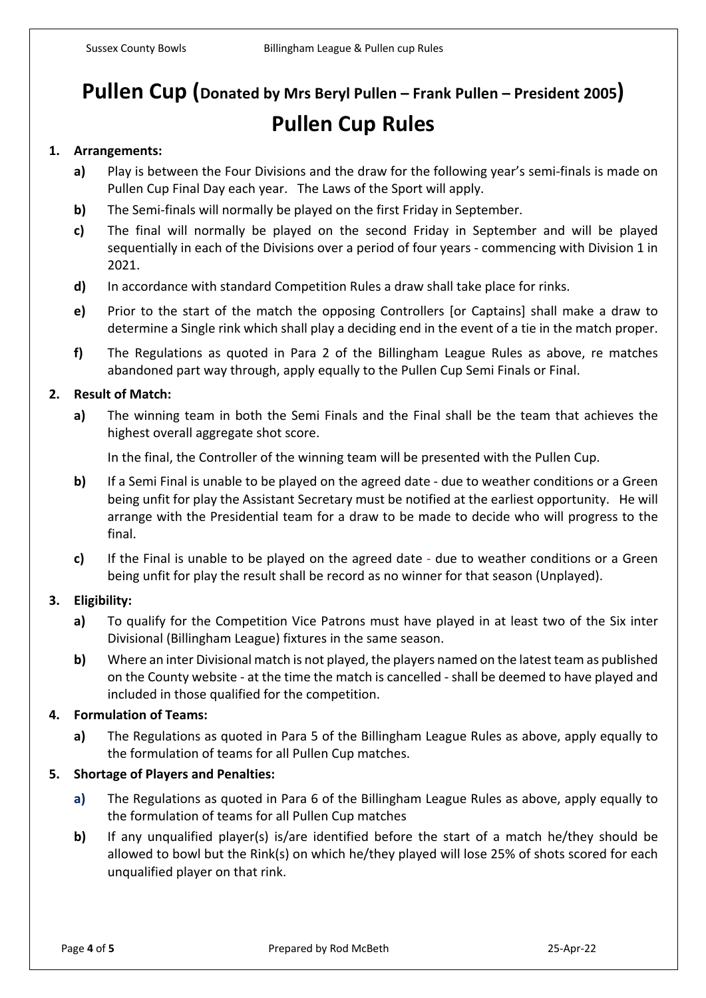# **Pullen Cup (Donated by Mrs Beryl Pullen – Frank Pullen – President 2005) Pullen Cup Rules**

#### **1. Arrangements:**

- **a)** Play is between the Four Divisions and the draw for the following year's semi-finals is made on Pullen Cup Final Day each year. The Laws of the Sport will apply.
- **b)** The Semi-finals will normally be played on the first Friday in September.
- **c)** The final will normally be played on the second Friday in September and will be played sequentially in each of the Divisions over a period of four years - commencing with Division 1 in 2021.
- **d)** In accordance with standard Competition Rules a draw shall take place for rinks.
- **e)** Prior to the start of the match the opposing Controllers [or Captains] shall make a draw to determine a Single rink which shall play a deciding end in the event of a tie in the match proper.
- **f)** The Regulations as quoted in Para 2 of the Billingham League Rules as above, re matches abandoned part way through, apply equally to the Pullen Cup Semi Finals or Final.

## **2. Result of Match:**

**a)** The winning team in both the Semi Finals and the Final shall be the team that achieves the highest overall aggregate shot score.

In the final, the Controller of the winning team will be presented with the Pullen Cup.

- **b)** If a Semi Final is unable to be played on the agreed date due to weather conditions or a Green being unfit for play the Assistant Secretary must be notified at the earliest opportunity. He will arrange with the Presidential team for a draw to be made to decide who will progress to the final.
- **c)** If the Final is unable to be played on the agreed date due to weather conditions or a Green being unfit for play the result shall be record as no winner for that season (Unplayed).

## **3. Eligibility:**

- **a)** To qualify for the Competition Vice Patrons must have played in at least two of the Six inter Divisional (Billingham League) fixtures in the same season.
- **b)** Where an inter Divisional match is not played, the players named on the latest team as published on the County website - at the time the match is cancelled - shall be deemed to have played and included in those qualified for the competition.

## **4. Formulation of Teams:**

**a)** The Regulations as quoted in Para 5 of the Billingham League Rules as above, apply equally to the formulation of teams for all Pullen Cup matches.

## **5. Shortage of Players and Penalties:**

- **a)** The Regulations as quoted in Para 6 of the Billingham League Rules as above, apply equally to the formulation of teams for all Pullen Cup matches
- **b)** If any unqualified player(s) is/are identified before the start of a match he/they should be allowed to bowl but the Rink(s) on which he/they played will lose 25% of shots scored for each unqualified player on that rink.